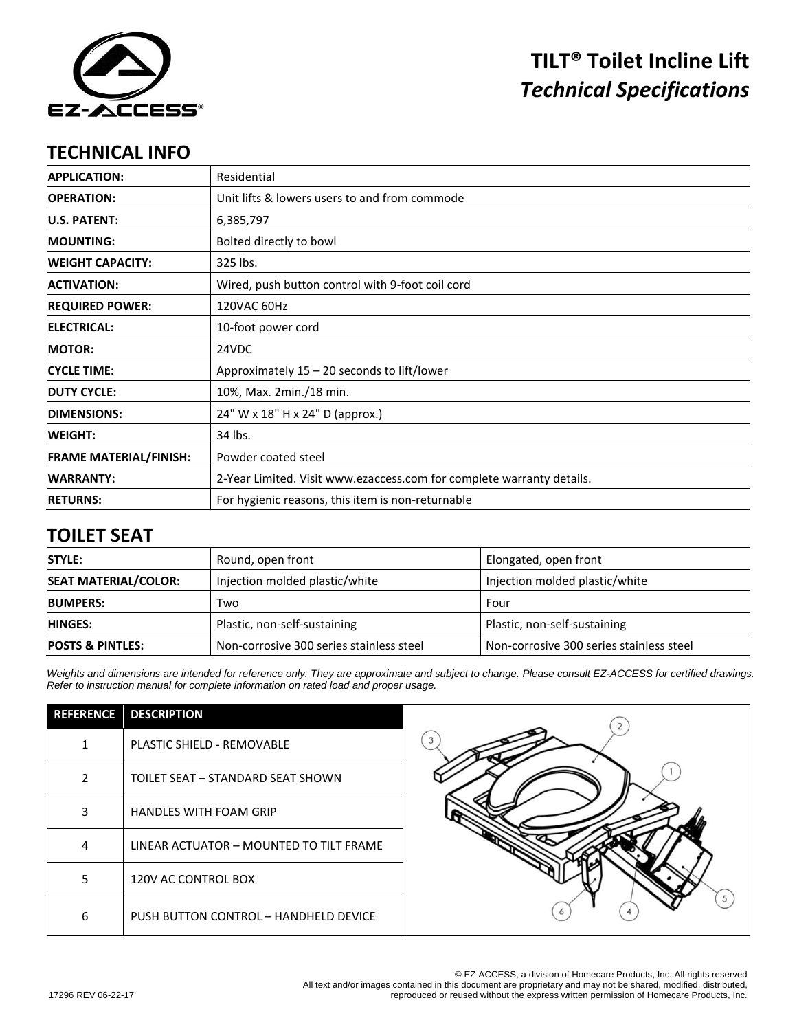

# **TILT® Toilet Incline Lift** *Technical Specifications*

#### **TECHNICAL INFO**

| <b>APPLICATION:</b>           | Residential                                                           |  |
|-------------------------------|-----------------------------------------------------------------------|--|
| <b>OPERATION:</b>             | Unit lifts & lowers users to and from commode                         |  |
| <b>U.S. PATENT:</b>           | 6,385,797                                                             |  |
| <b>MOUNTING:</b>              | Bolted directly to bowl                                               |  |
| <b>WEIGHT CAPACITY:</b>       | 325 lbs.                                                              |  |
| <b>ACTIVATION:</b>            | Wired, push button control with 9-foot coil cord                      |  |
| <b>REQUIRED POWER:</b>        | 120VAC 60Hz                                                           |  |
| <b>ELECTRICAL:</b>            | 10-foot power cord                                                    |  |
| <b>MOTOR:</b>                 | 24VDC                                                                 |  |
| <b>CYCLE TIME:</b>            | Approximately $15 - 20$ seconds to lift/lower                         |  |
| <b>DUTY CYCLE:</b>            | 10%, Max. 2min./18 min.                                               |  |
| <b>DIMENSIONS:</b>            | 24" W x 18" H x 24" D (approx.)                                       |  |
| <b>WEIGHT:</b>                | 34 lbs.                                                               |  |
| <b>FRAME MATERIAL/FINISH:</b> | Powder coated steel                                                   |  |
| <b>WARRANTY:</b>              | 2-Year Limited. Visit www.ezaccess.com for complete warranty details. |  |
| <b>RETURNS:</b>               | For hygienic reasons, this item is non-returnable                     |  |

### **TOILET SEAT**

| STYLE:                      | Round, open front                        | Elongated, open front                    |
|-----------------------------|------------------------------------------|------------------------------------------|
| <b>SEAT MATERIAL/COLOR:</b> | Injection molded plastic/white           | Injection molded plastic/white           |
| <b>BUMPERS:</b>             | Two                                      | Four                                     |
| <b>HINGES:</b>              | Plastic, non-self-sustaining             | Plastic, non-self-sustaining             |
| <b>POSTS &amp; PINTLES:</b> | Non-corrosive 300 series stainless steel | Non-corrosive 300 series stainless steel |

*Weights and dimensions are intended for reference only. They are approximate and subject to change. Please consult EZ-ACCESS for certified drawings. Refer to instruction manual for complete information on rated load and proper usage.*

| <b>REFERENCE</b> | <b>DESCRIPTION</b>                      |
|------------------|-----------------------------------------|
| 1                | <b>PLASTIC SHIELD - REMOVABLE</b>       |
| $\mathfrak{p}$   | TOILET SEAT - STANDARD SEAT SHOWN       |
| 3                | <b>HANDLES WITH FOAM GRIP</b>           |
| 4                | LINEAR ACTUATOR - MOUNTED TO TILT FRAME |
| 5                | 120V AC CONTROL BOX                     |
| 6                | PUSH BUTTON CONTROL - HANDHELD DEVICE   |



© EZ-ACCESS, a division of Homecare Products, Inc. All rights reserved All text and/or images contained in this document are proprietary and may not be shared, modified, distributed, reproduced or reused without the express written permission of Homecare Products, Inc.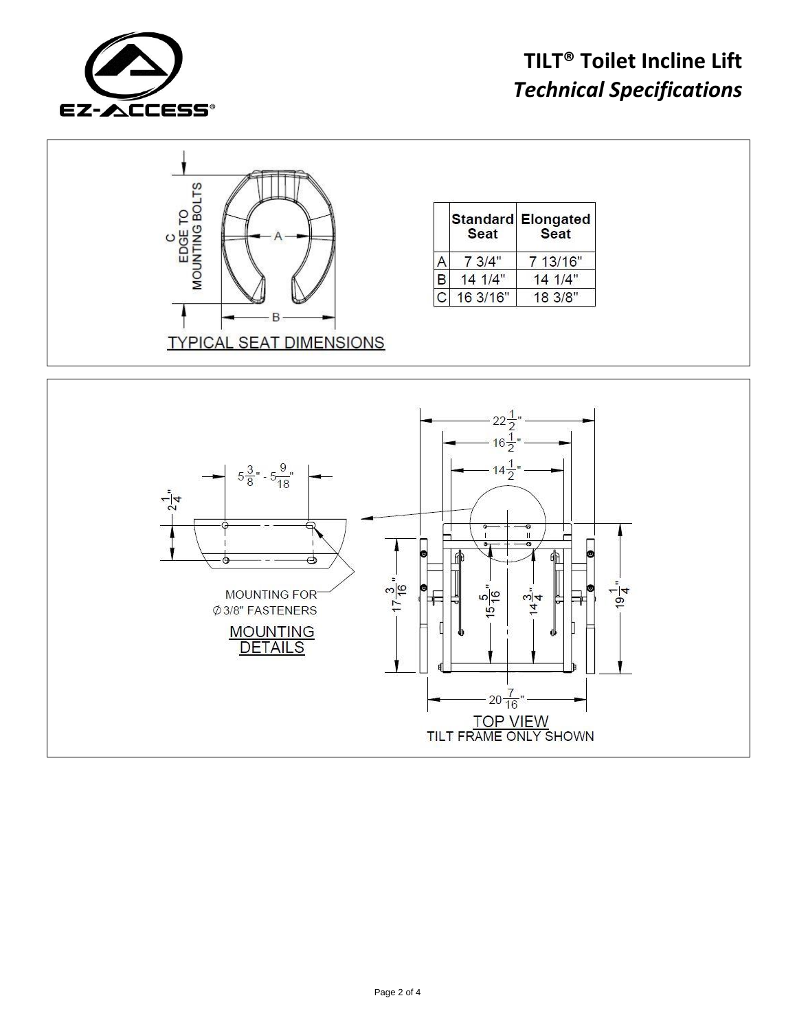

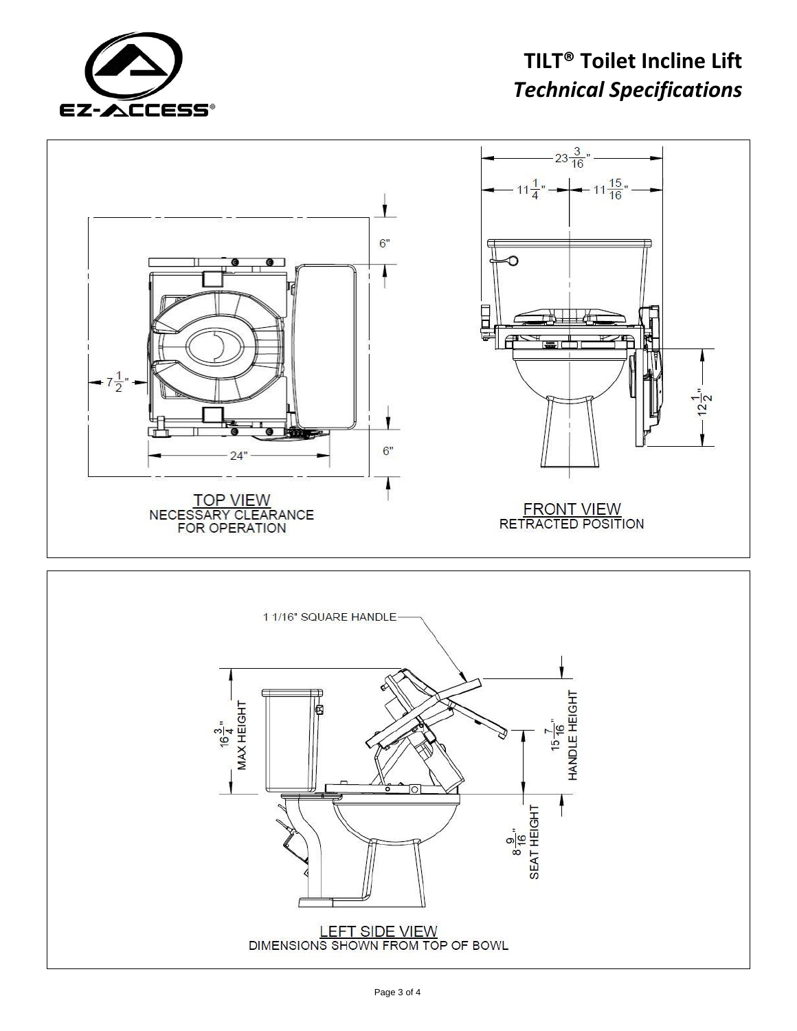

# **TILT® Toilet Incline Lift** *Technical Specifications*